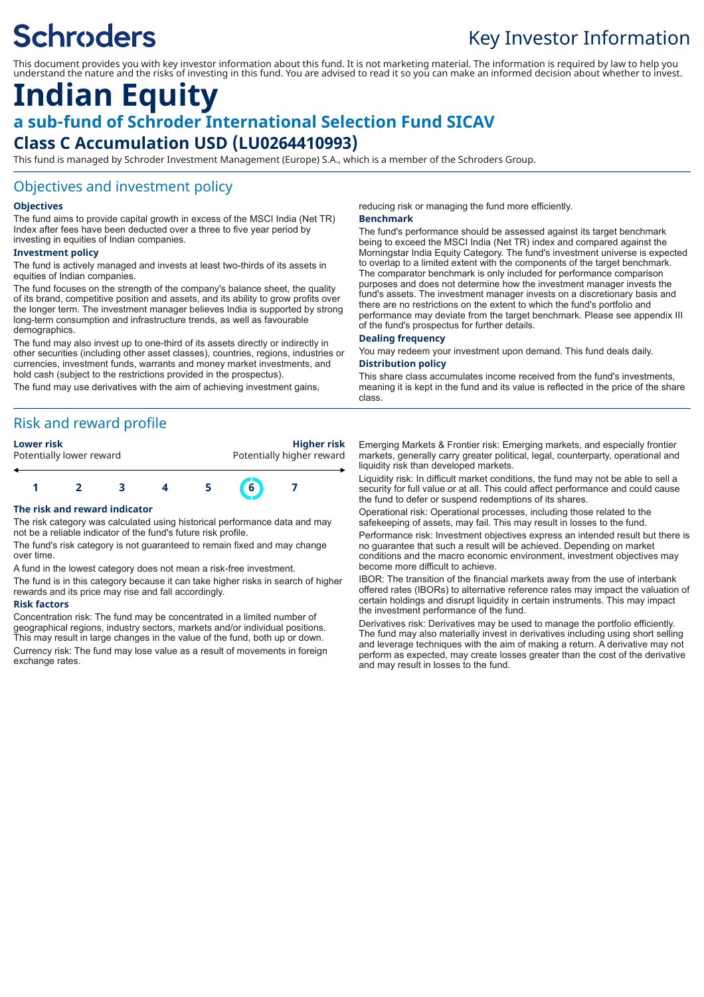# **Schroders**

## Key Investor Information

This document provides you with key investor information about this fund. It is not marketing material. The information is required by law to help you understand the nature and the risks of investing in this fund. You are advised to read it so you can make an informed decision about whether to invest.

## **Indian Equity a sub-fund of Schroder International Selection Fund SICAV Class C Accumulation USD (LU0264410993)**

This fund is managed by Schroder Investment Management (Europe) S.A., which is a member of the Schroders Group.

#### Objectives and investment policy

#### **Objectives**

The fund aims to provide capital growth in excess of the MSCI India (Net TR) Index after fees have been deducted over a three to five year period by investing in equities of Indian companies.

#### **Investment policy**

The fund is actively managed and invests at least two-thirds of its assets in equities of Indian companies.

The fund focuses on the strength of the company's balance sheet, the quality of its brand, competitive position and assets, and its ability to grow profits over the longer term. The investment manager believes India is supported by strong long-term consumption and infrastructure trends, as well as favourable demographics.

The fund may also invest up to one-third of its assets directly or indirectly in other securities (including other asset classes), countries, regions, industries or currencies, investment funds, warrants and money market investments, and hold cash (subject to the restrictions provided in the prospectus).

The fund may use derivatives with the aim of achieving investment gains,

### Risk and reward profile





#### **The risk and reward indicator**

The risk category was calculated using historical performance data and may not be a reliable indicator of the fund's future risk profile.

The fund's risk category is not guaranteed to remain fixed and may change over time.

A fund in the lowest category does not mean a risk-free investment.

The fund is in this category because it can take higher risks in search of higher rewards and its price may rise and fall accordingly.

#### **Risk factors**

Concentration risk: The fund may be concentrated in a limited number of geographical regions, industry sectors, markets and/or individual positions. This may result in large changes in the value of the fund, both up or down.

Currency risk: The fund may lose value as a result of movements in foreign exchange rates.

reducing risk or managing the fund more efficiently.

#### **Benchmark**

The fund's performance should be assessed against its target benchmark being to exceed the MSCI India (Net TR) index and compared against the Morningstar India Equity Category. The fund's investment universe is expected to overlap to a limited extent with the components of the target benchmark. The comparator benchmark is only included for performance comparison purposes and does not determine how the investment manager invests the fund's assets. The investment manager invests on a discretionary basis and there are no restrictions on the extent to which the fund's portfolio and performance may deviate from the target benchmark. Please see appendix III of the fund's prospectus for further details.

#### **Dealing frequency**

You may redeem your investment upon demand. This fund deals daily. **Distribution policy**

This share class accumulates income received from the fund's investments, meaning it is kept in the fund and its value is reflected in the price of the share class.

Emerging Markets & Frontier risk: Emerging markets, and especially frontier markets, generally carry greater political, legal, counterparty, operational and liquidity risk than developed markets.

Liquidity risk: In difficult market conditions, the fund may not be able to sell a security for full value or at all. This could affect performance and could cause the fund to defer or suspend redemptions of its shares.

Operational risk: Operational processes, including those related to the safekeeping of assets, may fail. This may result in losses to the fund.

Performance risk: Investment objectives express an intended result but there is no guarantee that such a result will be achieved. Depending on market conditions and the macro economic environment, investment objectives may become more difficult to achieve.

IBOR: The transition of the financial markets away from the use of interbank offered rates (IBORs) to alternative reference rates may impact the valuation of certain holdings and disrupt liquidity in certain instruments. This may impact the investment performance of the fund.

Derivatives risk: Derivatives may be used to manage the portfolio efficiently. The fund may also materially invest in derivatives including using short selling and leverage techniques with the aim of making a return. A derivative may not perform as expected, may create losses greater than the cost of the derivative and may result in losses to the fund.